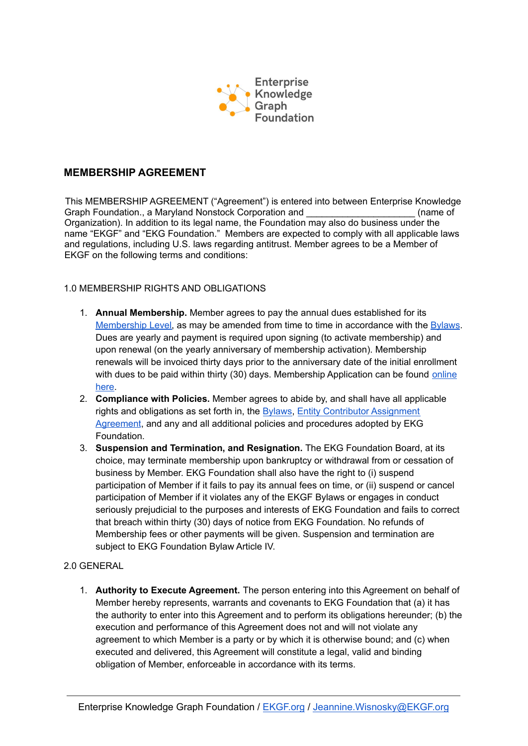

## **MEMBERSHIP AGREEMENT**

This MEMBERSHIP AGREEMENT ("Agreement") is entered into between Enterprise Knowledge Graph Foundation., a Maryland Nonstock Corporation and **Example 20** (name of Organization). In addition to its legal name, the Foundation may also do business under the name "EKGF" and "EKG Foundation." Members are expected to comply with all applicable laws and regulations, including U.S. laws regarding antitrust. Member agrees to be a Member of EKGF on the following terms and conditions:

## 1.0 MEMBERSHIP RIGHTS AND OBLIGATIONS

- 1. **Annual Membership.** Member agrees to pay the annual dues established for its [Membership Level,](https://www.ekgf.org/membership) as may be amended from time to time in accordance with the [Bylaws](https://www.ekgf.org/bylaws). Dues are yearly and payment is required upon signing (to activate membership) and upon renewal (on the yearly anniversary of membership activation). Membership renewals will be invoiced thirty days prior to the anniversary date of the initial enrollment with dues to be paid within thirty (30) days. Membership Application can be found [online](https://www.ekgf.org/membershipform) [here](https://www.ekgf.org/membershipform).
- 2. **Compliance with Policies.** Member agrees to abide by, and shall have all applicable rights and obligations as set forth in, the **Bylaws**, [Entity Contributor Assignment](https://www.ekgf.org/_files/ugd/ffbc4e_fb00de84b57d4dd684a248b0c82eafe9.pdf) [Agreement](https://www.ekgf.org/_files/ugd/ffbc4e_fb00de84b57d4dd684a248b0c82eafe9.pdf), and any and all additional policies and procedures adopted by EKG Foundation.
- 3. **Suspension and Termination, and Resignation.** The EKG Foundation Board, at its choice, may terminate membership upon bankruptcy or withdrawal from or cessation of business by Member. EKG Foundation shall also have the right to (i) suspend participation of Member if it fails to pay its annual fees on time, or (ii) suspend or cancel participation of Member if it violates any of the EKGF Bylaws or engages in conduct seriously prejudicial to the purposes and interests of EKG Foundation and fails to correct that breach within thirty (30) days of notice from EKG Foundation. No refunds of Membership fees or other payments will be given. Suspension and termination are subject to EKG Foundation Bylaw Article IV.

## 2.0 GENERAL

1. **Authority to Execute Agreement.** The person entering into this Agreement on behalf of Member hereby represents, warrants and covenants to EKG Foundation that (a) it has the authority to enter into this Agreement and to perform its obligations hereunder; (b) the execution and performance of this Agreement does not and will not violate any agreement to which Member is a party or by which it is otherwise bound; and (c) when executed and delivered, this Agreement will constitute a legal, valid and binding obligation of Member, enforceable in accordance with its terms.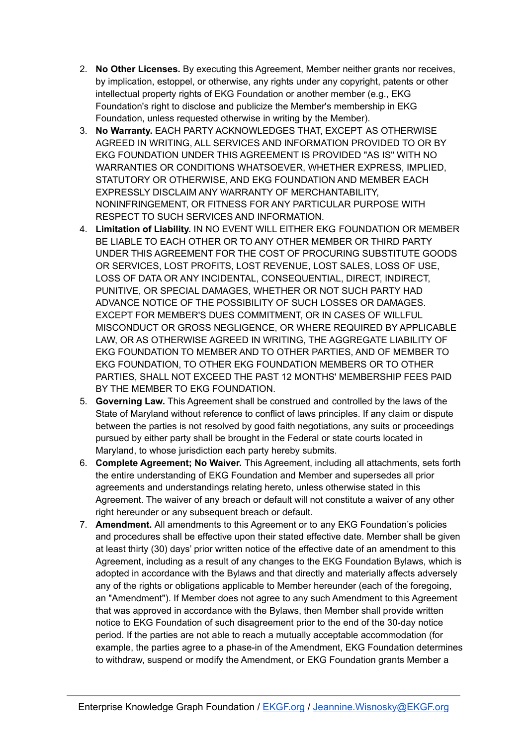- 2. **No Other Licenses.** By executing this Agreement, Member neither grants nor receives, by implication, estoppel, or otherwise, any rights under any copyright, patents or other intellectual property rights of EKG Foundation or another member (e.g., EKG Foundation's right to disclose and publicize the Member's membership in EKG Foundation, unless requested otherwise in writing by the Member).
- 3. **No Warranty.** EACH PARTY ACKNOWLEDGES THAT, EXCEPT AS OTHERWISE AGREED IN WRITING, ALL SERVICES AND INFORMATION PROVIDED TO OR BY EKG FOUNDATION UNDER THIS AGREEMENT IS PROVIDED "AS IS" WITH NO WARRANTIES OR CONDITIONS WHATSOEVER, WHETHER EXPRESS, IMPLIED, STATUTORY OR OTHERWISE, AND EKG FOUNDATION AND MEMBER EACH EXPRESSLY DISCLAIM ANY WARRANTY OF MERCHANTABILITY, NONINFRINGEMENT, OR FITNESS FOR ANY PARTICULAR PURPOSE WITH RESPECT TO SUCH SERVICES AND INFORMATION.
- 4. **Limitation of Liability.** IN NO EVENT WILL EITHER EKG FOUNDATION OR MEMBER BE LIABLE TO EACH OTHER OR TO ANY OTHER MEMBER OR THIRD PARTY UNDER THIS AGREEMENT FOR THE COST OF PROCURING SUBSTITUTE GOODS OR SERVICES, LOST PROFITS, LOST REVENUE, LOST SALES, LOSS OF USE, LOSS OF DATA OR ANY INCIDENTAL, CONSEQUENTIAL, DIRECT, INDIRECT, PUNITIVE, OR SPECIAL DAMAGES, WHETHER OR NOT SUCH PARTY HAD ADVANCE NOTICE OF THE POSSIBILITY OF SUCH LOSSES OR DAMAGES. EXCEPT FOR MEMBER'S DUES COMMITMENT, OR IN CASES OF WILLFUL MISCONDUCT OR GROSS NEGLIGENCE, OR WHERE REQUIRED BY APPLICABLE LAW, OR AS OTHERWISE AGREED IN WRITING, THE AGGREGATE LIABILITY OF EKG FOUNDATION TO MEMBER AND TO OTHER PARTIES, AND OF MEMBER TO EKG FOUNDATION, TO OTHER EKG FOUNDATION MEMBERS OR TO OTHER PARTIES, SHALL NOT EXCEED THE PAST 12 MONTHS' MEMBERSHIP FEES PAID BY THE MEMBER TO EKG FOUNDATION.
- 5. **Governing Law.** This Agreement shall be construed and controlled by the laws of the State of Maryland without reference to conflict of laws principles. If any claim or dispute between the parties is not resolved by good faith negotiations, any suits or proceedings pursued by either party shall be brought in the Federal or state courts located in Maryland, to whose jurisdiction each party hereby submits.
- 6. **Complete Agreement; No Waiver.** This Agreement, including all attachments, sets forth the entire understanding of EKG Foundation and Member and supersedes all prior agreements and understandings relating hereto, unless otherwise stated in this Agreement. The waiver of any breach or default will not constitute a waiver of any other right hereunder or any subsequent breach or default.
- 7. **Amendment.** All amendments to this Agreement or to any EKG Foundation's policies and procedures shall be effective upon their stated effective date. Member shall be given at least thirty (30) days' prior written notice of the effective date of an amendment to this Agreement, including as a result of any changes to the EKG Foundation Bylaws, which is adopted in accordance with the Bylaws and that directly and materially affects adversely any of the rights or obligations applicable to Member hereunder (each of the foregoing, an "Amendment"). If Member does not agree to any such Amendment to this Agreement that was approved in accordance with the Bylaws, then Member shall provide written notice to EKG Foundation of such disagreement prior to the end of the 30-day notice period. If the parties are not able to reach a mutually acceptable accommodation (for example, the parties agree to a phase-in of the Amendment, EKG Foundation determines to withdraw, suspend or modify the Amendment, or EKG Foundation grants Member a